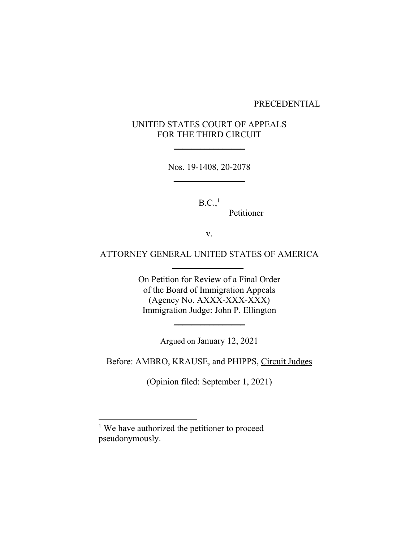#### PRECEDENTIAL

# UNITED STATES COURT OF APPEALS FOR THE THIRD CIRCUIT

**\_\_\_\_\_\_\_\_\_\_\_\_\_\_\_\_** 

Nos. 19-1408, 20-2078 **\_\_\_\_\_\_\_\_\_\_\_\_\_\_\_\_** 

 $B.C.,<sup>1</sup>$ 

Petitioner

v.

## ATTORNEY GENERAL UNITED STATES OF AMERICA

 **\_\_\_\_\_\_\_\_\_\_\_\_\_\_\_\_** 

On Petition for Review of a Final Order of the Board of Immigration Appeals (Agency No. AXXX-XXX-XXX) Immigration Judge: John P. Ellington

**\_\_\_\_\_\_\_\_\_\_\_\_\_\_\_\_** 

Argued on January 12, 2021

Before: AMBRO, KRAUSE, and PHIPPS, Circuit Judges

(Opinion filed: September 1, 2021)

<sup>&</sup>lt;sup>1</sup> We have authorized the petitioner to proceed pseudonymously.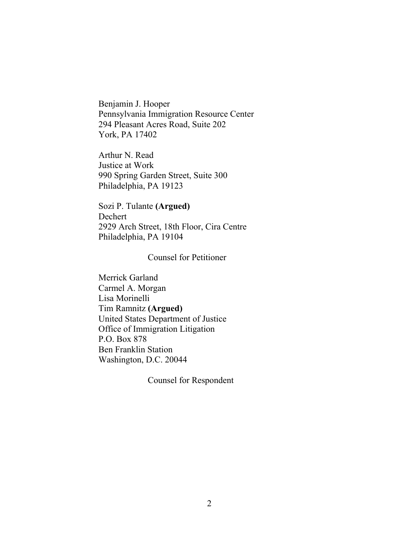Benjamin J. Hooper Pennsylvania Immigration Resource Center 294 Pleasant Acres Road, Suite 202 York, PA 17402

Arthur N. Read Justice at Work 990 Spring Garden Street, Suite 300 Philadelphia, PA 19123

Sozi P. Tulante **(Argued)** Dechert 2929 Arch Street, 18th Floor, Cira Centre Philadelphia, PA 19104

## Counsel for Petitioner

Merrick Garland Carmel A. Morgan Lisa Morinelli Tim Ramnitz **(Argued)**  United States Department of Justice Office of Immigration Litigation P.O. Box 878 Ben Franklin Station Washington, D.C. 20044

Counsel for Respondent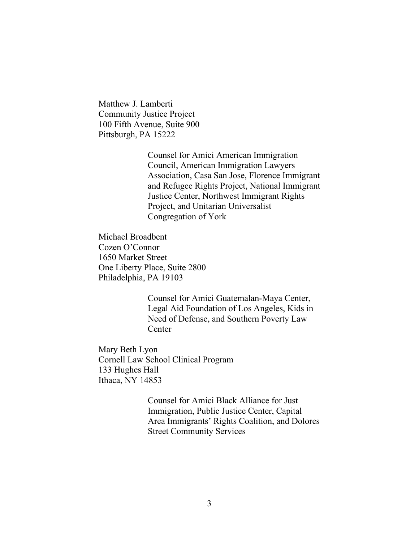Matthew J. Lamberti Community Justice Project 100 Fifth Avenue, Suite 900 Pittsburgh, PA 15222

> Counsel for Amici American Immigration Council, American Immigration Lawyers Association, Casa San Jose, Florence Immigrant and Refugee Rights Project, National Immigrant Justice Center, Northwest Immigrant Rights Project, and Unitarian Universalist Congregation of York

Michael Broadbent Cozen O'Connor 1650 Market Street One Liberty Place, Suite 2800 Philadelphia, PA 19103

> Counsel for Amici Guatemalan-Maya Center, Legal Aid Foundation of Los Angeles, Kids in Need of Defense, and Southern Poverty Law Center

Mary Beth Lyon Cornell Law School Clinical Program 133 Hughes Hall Ithaca, NY 14853

> Counsel for Amici Black Alliance for Just Immigration, Public Justice Center, Capital Area Immigrants' Rights Coalition, and Dolores Street Community Services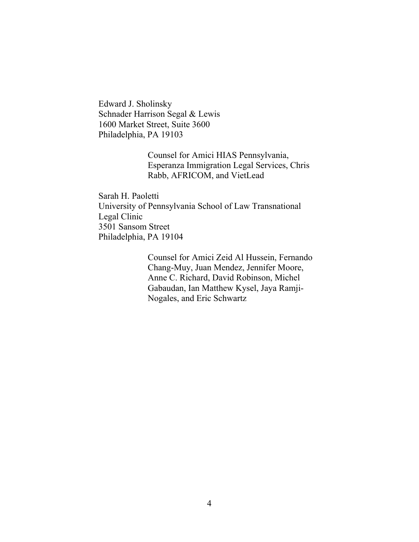Edward J. Sholinsky Schnader Harrison Segal & Lewis 1600 Market Street, Suite 3600 Philadelphia, PA 19103

> Counsel for Amici HIAS Pennsylvania, Esperanza Immigration Legal Services, Chris Rabb, AFRICOM, and VietLead

Sarah H. Paoletti University of Pennsylvania School of Law Transnational Legal Clinic 3501 Sansom Street Philadelphia, PA 19104

> Counsel for Amici Zeid Al Hussein, Fernando Chang-Muy, Juan Mendez, Jennifer Moore, Anne C. Richard, David Robinson, Michel Gabaudan, Ian Matthew Kysel, Jaya Ramji-Nogales, and Eric Schwartz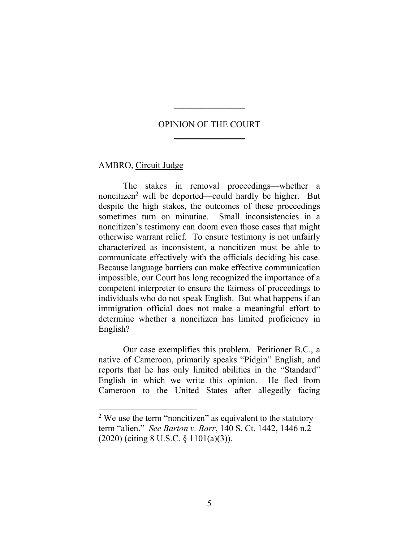## OPINION OF THE COURT  $\frac{1}{2}$  ,  $\frac{1}{2}$  ,  $\frac{1}{2}$  ,  $\frac{1}{2}$  ,  $\frac{1}{2}$  ,  $\frac{1}{2}$  ,  $\frac{1}{2}$  ,  $\frac{1}{2}$

 $\frac{1}{2}$ 

## AMBRO, Circuit Judge

The stakes in removal proceedings—whether a noncitizen<sup>2</sup> will be deported—could hardly be higher. But despite the high stakes, the outcomes of these proceedings sometimes turn on minutiae. Small inconsistencies in a noncitizen's testimony can doom even those cases that might otherwise warrant relief. To ensure testimony is not unfairly characterized as inconsistent, a noncitizen must be able to communicate effectively with the officials deciding his case. Because language barriers can make effective communication impossible, our Court has long recognized the importance of a competent interpreter to ensure the fairness of proceedings to individuals who do not speak English. But what happens if an immigration official does not make a meaningful effort to determine whether a noncitizen has limited proficiency in English?

 Our case exemplifies this problem. Petitioner B.C., a native of Cameroon, primarily speaks "Pidgin" English, and reports that he has only limited abilities in the "Standard" English in which we write this opinion. He fled from Cameroon to the United States after allegedly facing

<sup>&</sup>lt;sup>2</sup> We use the term "noncitizen" as equivalent to the statutory term "alien." *See Barton v. Barr*, 140 S. Ct. 1442, 1446 n.2 (2020) (citing 8 U.S.C. § 1101(a)(3)).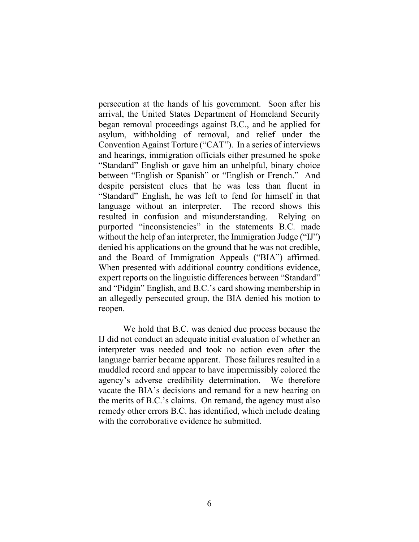persecution at the hands of his government. Soon after his arrival, the United States Department of Homeland Security began removal proceedings against B.C., and he applied for asylum, withholding of removal, and relief under the Convention Against Torture ("CAT"). In a series of interviews and hearings, immigration officials either presumed he spoke "Standard" English or gave him an unhelpful, binary choice between "English or Spanish" or "English or French." And despite persistent clues that he was less than fluent in "Standard" English, he was left to fend for himself in that language without an interpreter. The record shows this resulted in confusion and misunderstanding. Relying on purported "inconsistencies" in the statements B.C. made without the help of an interpreter, the Immigration Judge ("IJ") denied his applications on the ground that he was not credible, and the Board of Immigration Appeals ("BIA") affirmed. When presented with additional country conditions evidence, expert reports on the linguistic differences between "Standard" and "Pidgin" English, and B.C.'s card showing membership in an allegedly persecuted group, the BIA denied his motion to reopen.

 We hold that B.C. was denied due process because the IJ did not conduct an adequate initial evaluation of whether an interpreter was needed and took no action even after the language barrier became apparent. Those failures resulted in a muddled record and appear to have impermissibly colored the agency's adverse credibility determination. We therefore vacate the BIA's decisions and remand for a new hearing on the merits of B.C.'s claims. On remand, the agency must also remedy other errors B.C. has identified, which include dealing with the corroborative evidence he submitted.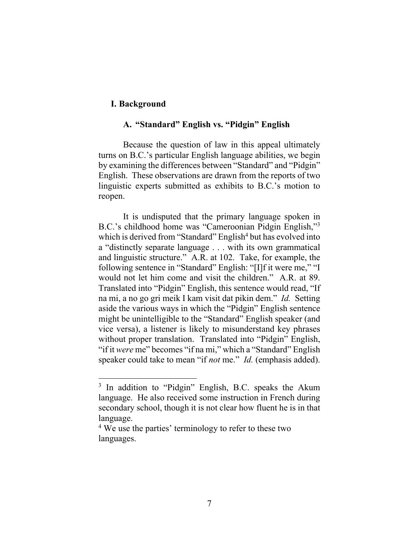### **I. Background**

### **A. "Standard" English vs. "Pidgin" English**

Because the question of law in this appeal ultimately turns on B.C.'s particular English language abilities, we begin by examining the differences between "Standard" and "Pidgin" English. These observations are drawn from the reports of two linguistic experts submitted as exhibits to B.C.'s motion to reopen.

It is undisputed that the primary language spoken in B.C.'s childhood home was "Cameroonian Pidgin English,"3 which is derived from "Standard" English<sup>4</sup> but has evolved into a "distinctly separate language . . . with its own grammatical and linguistic structure." A.R. at 102.Take, for example, the following sentence in "Standard" English: "[I]f it were me," "I would not let him come and visit the children." A.R. at 89. Translated into "Pidgin" English, this sentence would read, "If na mi, a no go gri meik I kam visit dat pikin dem." *Id.* Setting aside the various ways in which the "Pidgin" English sentence might be unintelligible to the "Standard" English speaker (and vice versa), a listener is likely to misunderstand key phrases without proper translation. Translated into "Pidgin" English, "if it *were* me" becomes "if na mi," which a "Standard" English speaker could take to mean "if *not* me." *Id.* (emphasis added).

<sup>&</sup>lt;sup>3</sup> In addition to "Pidgin" English, B.C. speaks the Akum language. He also received some instruction in French during secondary school, though it is not clear how fluent he is in that language.

<sup>&</sup>lt;sup>4</sup> We use the parties' terminology to refer to these two languages.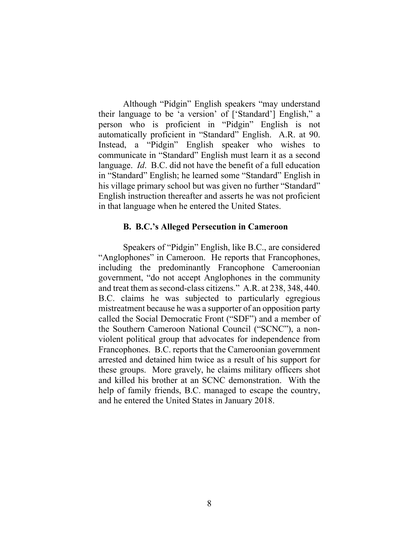Although "Pidgin" English speakers "may understand their language to be 'a version' of ['Standard'] English," a person who is proficient in "Pidgin" English is not automatically proficient in "Standard" English. A.R. at 90. Instead, a "Pidgin" English speaker who wishes to communicate in "Standard" English must learn it as a second language. *Id*. B.C. did not have the benefit of a full education in "Standard" English; he learned some "Standard" English in his village primary school but was given no further "Standard" English instruction thereafter and asserts he was not proficient in that language when he entered the United States.

#### **B. B.C.'s Alleged Persecution in Cameroon**

Speakers of "Pidgin" English, like B.C., are considered "Anglophones" in Cameroon. He reports that Francophones, including the predominantly Francophone Cameroonian government, "do not accept Anglophones in the community and treat them as second-class citizens." A.R. at 238, 348, 440. B.C. claims he was subjected to particularly egregious mistreatment because he was a supporter of an opposition party called the Social Democratic Front ("SDF") and a member of the Southern Cameroon National Council ("SCNC"), a nonviolent political group that advocates for independence from Francophones. B.C. reports that the Cameroonian government arrested and detained him twice as a result of his support for these groups. More gravely, he claims military officers shot and killed his brother at an SCNC demonstration. With the help of family friends, B.C. managed to escape the country, and he entered the United States in January 2018.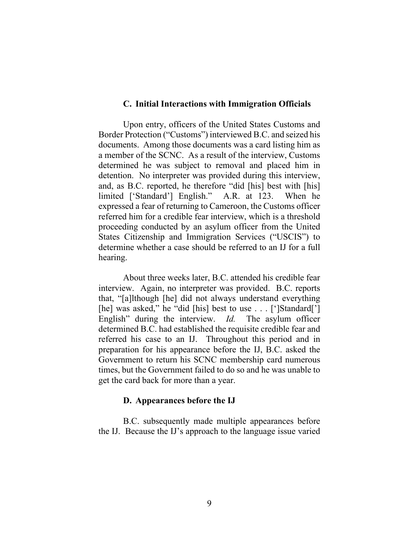#### **C. Initial Interactions with Immigration Officials**

Upon entry, officers of the United States Customs and Border Protection ("Customs") interviewed B.C. and seized his documents. Among those documents was a card listing him as a member of the SCNC. As a result of the interview, Customs determined he was subject to removal and placed him in detention. No interpreter was provided during this interview, and, as B.C. reported, he therefore "did [his] best with [his] limited ['Standard'] English." A.R. at 123. When he expressed a fear of returning to Cameroon, the Customs officer referred him for a credible fear interview, which is a threshold proceeding conducted by an asylum officer from the United States Citizenship and Immigration Services ("USCIS") to determine whether a case should be referred to an IJ for a full hearing.

About three weeks later, B.C. attended his credible fear interview. Again, no interpreter was provided. B.C. reports that, "[a]lthough [he] did not always understand everything [he] was asked," he "did [his] best to use . . . [']Standard['] English" during the interview. *Id.* The asylum officer determined B.C. had established the requisite credible fear and referred his case to an IJ. Throughout this period and in preparation for his appearance before the IJ, B.C. asked the Government to return his SCNC membership card numerous times, but the Government failed to do so and he was unable to get the card back for more than a year.

### **D. Appearances before the IJ**

B.C. subsequently made multiple appearances before the IJ. Because the IJ's approach to the language issue varied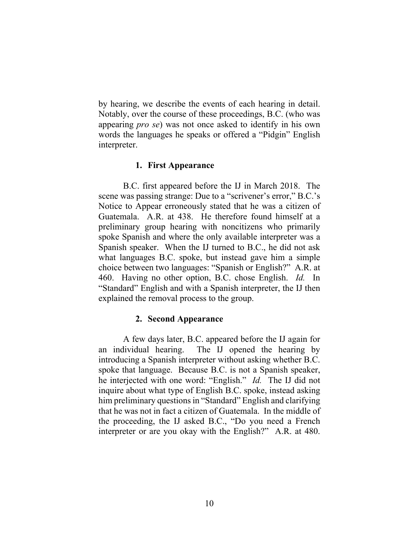by hearing, we describe the events of each hearing in detail. Notably, over the course of these proceedings, B.C. (who was appearing *pro se*) was not once asked to identify in his own words the languages he speaks or offered a "Pidgin" English interpreter.

#### **1. First Appearance**

B.C. first appeared before the IJ in March 2018. The scene was passing strange: Due to a "scrivener's error," B.C.'s Notice to Appear erroneously stated that he was a citizen of Guatemala. A.R. at 438. He therefore found himself at a preliminary group hearing with noncitizens who primarily spoke Spanish and where the only available interpreter was a Spanish speaker. When the IJ turned to B.C., he did not ask what languages B.C. spoke, but instead gave him a simple choice between two languages: "Spanish or English?" A.R. at 460. Having no other option, B.C. chose English. *Id.* In "Standard" English and with a Spanish interpreter, the IJ then explained the removal process to the group.

### **2. Second Appearance**

A few days later, B.C. appeared before the IJ again for an individual hearing. The IJ opened the hearing by introducing a Spanish interpreter without asking whether B.C. spoke that language. Because B.C. is not a Spanish speaker, he interjected with one word: "English." *Id.* The IJ did not inquire about what type of English B.C. spoke, instead asking him preliminary questions in "Standard" English and clarifying that he was not in fact a citizen of Guatemala. In the middle of the proceeding, the IJ asked B.C., "Do you need a French interpreter or are you okay with the English?" A.R. at 480.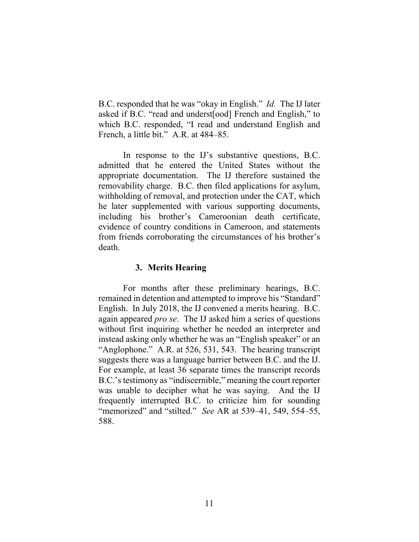B.C. responded that he was "okay in English." *Id.* The IJ later asked if B.C. "read and underst[ood] French and English," to which B.C. responded, "I read and understand English and French, a little bit." A.R. at 484–85.

In response to the IJ's substantive questions, B.C. admitted that he entered the United States without the appropriate documentation. The IJ therefore sustained the removability charge. B.C. then filed applications for asylum, withholding of removal, and protection under the CAT, which he later supplemented with various supporting documents, including his brother's Cameroonian death certificate, evidence of country conditions in Cameroon, and statements from friends corroborating the circumstances of his brother's death.

## **3. Merits Hearing**

For months after these preliminary hearings, B.C. remained in detention and attempted to improve his "Standard" English. In July 2018, the IJ convened a merits hearing. B.C. again appeared *pro se*. The IJ asked him a series of questions without first inquiring whether he needed an interpreter and instead asking only whether he was an "English speaker" or an "Anglophone." A.R. at 526, 531, 543.The hearing transcript suggests there was a language barrier between B.C. and the IJ. For example, at least 36 separate times the transcript records B.C.'s testimony as "indiscernible," meaning the court reporter was unable to decipher what he was saying. And the IJ frequently interrupted B.C. to criticize him for sounding "memorized" and "stilted." *See* AR at 539–41, 549, 554–55, 588.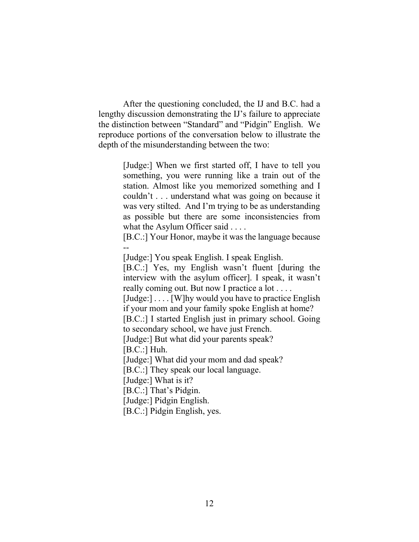After the questioning concluded, the IJ and B.C. had a lengthy discussion demonstrating the IJ's failure to appreciate the distinction between "Standard" and "Pidgin" English. We reproduce portions of the conversation below to illustrate the depth of the misunderstanding between the two:

> [Judge:] When we first started off, I have to tell you something, you were running like a train out of the station. Almost like you memorized something and I couldn't . . . understand what was going on because it was very stilted. And I'm trying to be as understanding as possible but there are some inconsistencies from what the Asylum Officer said . . . .

> [B.C.:] Your Honor, maybe it was the language because --

[Judge:] You speak English. I speak English.

[B.C.:] Yes, my English wasn't fluent [during the interview with the asylum officer]. I speak, it wasn't really coming out. But now I practice a lot . . . . [Judge:] . . . . [W]hy would you have to practice English if your mom and your family spoke English at home? [B.C.:] I started English just in primary school. Going to secondary school, we have just French. [Judge:] But what did your parents speak? [B.C.:] Huh. [Judge:] What did your mom and dad speak? [B.C.:] They speak our local language. [Judge:] What is it? [B.C.:] That's Pidgin. [Judge:] Pidgin English.

[B.C.:] Pidgin English, yes.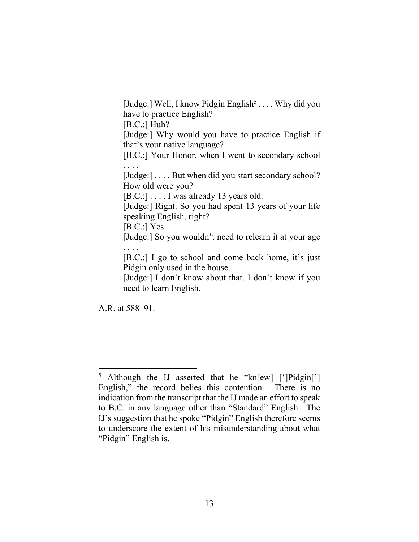[Judge:] Well, I know Pidgin English<sup>5</sup>.... Why did you have to practice English? [B.C.:] Huh? [Judge:] Why would you have to practice English if that's your native language?

[B.C.:] Your Honor, when I went to secondary school . . . .

[Judge:] . . . . But when did you start secondary school? How old were you?

[B.C.:] . . . . I was already 13 years old.

[Judge:] Right. So you had spent 13 years of your life speaking English, right?

[B.C.:] Yes.

[Judge:] So you wouldn't need to relearn it at your age . . . .

[B.C.:] I go to school and come back home, it's just Pidgin only used in the house.

[Judge:] I don't know about that. I don't know if you need to learn English.

A.R. at 588–91.

<sup>&</sup>lt;sup>5</sup> Although the IJ asserted that he "kn[ew] [']Pidgin['] English," the record belies this contention. There is no indication from the transcript that the IJ made an effort to speak to B.C. in any language other than "Standard" English. The IJ's suggestion that he spoke "Pidgin" English therefore seems to underscore the extent of his misunderstanding about what "Pidgin" English is.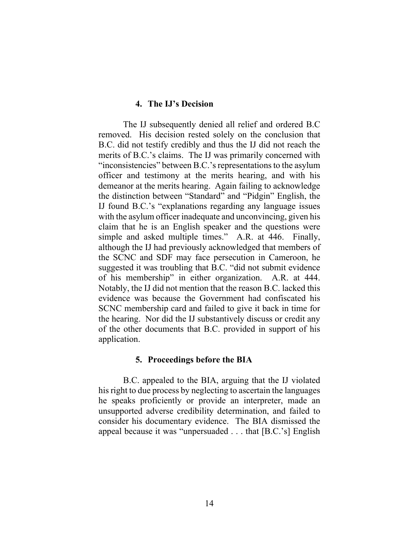#### **4. The IJ's Decision**

The IJ subsequently denied all relief and ordered B.C removed. His decision rested solely on the conclusion that B.C. did not testify credibly and thus the IJ did not reach the merits of B.C.'s claims. The IJ was primarily concerned with "inconsistencies" between B.C.'s representations to the asylum officer and testimony at the merits hearing, and with his demeanor at the merits hearing. Again failing to acknowledge the distinction between "Standard" and "Pidgin" English, the IJ found B.C.'s "explanations regarding any language issues with the asylum officer inadequate and unconvincing, given his claim that he is an English speaker and the questions were simple and asked multiple times." A.R. at 446. Finally, although the IJ had previously acknowledged that members of the SCNC and SDF may face persecution in Cameroon, he suggested it was troubling that B.C. "did not submit evidence of his membership" in either organization. A.R. at 444. Notably, the IJ did not mention that the reason B.C. lacked this evidence was because the Government had confiscated his SCNC membership card and failed to give it back in time for the hearing. Nor did the IJ substantively discuss or credit any of the other documents that B.C. provided in support of his application.

### **5. Proceedings before the BIA**

B.C. appealed to the BIA, arguing that the IJ violated his right to due process by neglecting to ascertain the languages he speaks proficiently or provide an interpreter, made an unsupported adverse credibility determination, and failed to consider his documentary evidence. The BIA dismissed the appeal because it was "unpersuaded . . . that [B.C.'s] English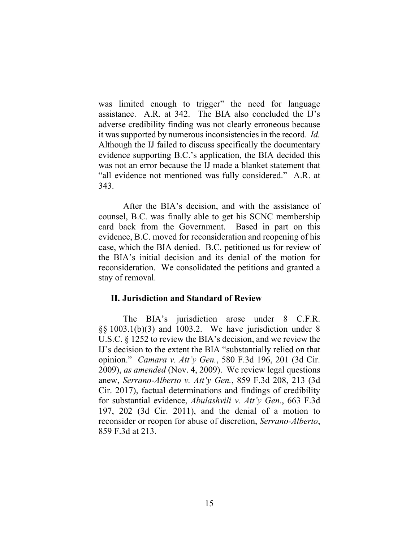was limited enough to trigger" the need for language assistance. A.R. at 342. The BIA also concluded the IJ's adverse credibility finding was not clearly erroneous because it was supported by numerous inconsistencies in the record. *Id.*  Although the IJ failed to discuss specifically the documentary evidence supporting B.C.'s application, the BIA decided this was not an error because the IJ made a blanket statement that "all evidence not mentioned was fully considered." A.R. at 343.

After the BIA's decision, and with the assistance of counsel, B.C. was finally able to get his SCNC membership card back from the Government. Based in part on this evidence, B.C. moved for reconsideration and reopening of his case, which the BIA denied. B.C. petitioned us for review of the BIA's initial decision and its denial of the motion for reconsideration. We consolidated the petitions and granted a stay of removal.

### **II. Jurisdiction and Standard of Review**

The BIA's jurisdiction arose under 8 C.F.R. §§ 1003.1(b)(3) and 1003.2. We have jurisdiction under 8 U.S.C. § 1252 to review the BIA's decision, and we review the IJ's decision to the extent the BIA "substantially relied on that opinion." *Camara v. Att'y Gen.*, 580 F.3d 196, 201 (3d Cir. 2009), *as amended* (Nov. 4, 2009). We review legal questions anew, *Serrano-Alberto v. Att'y Gen.*, 859 F.3d 208, 213 (3d Cir. 2017), factual determinations and findings of credibility for substantial evidence, *Abulashvili v. Att'y Gen.*, 663 F.3d 197, 202 (3d Cir. 2011), and the denial of a motion to reconsider or reopen for abuse of discretion, *Serrano-Alberto*, 859 F.3d at 213.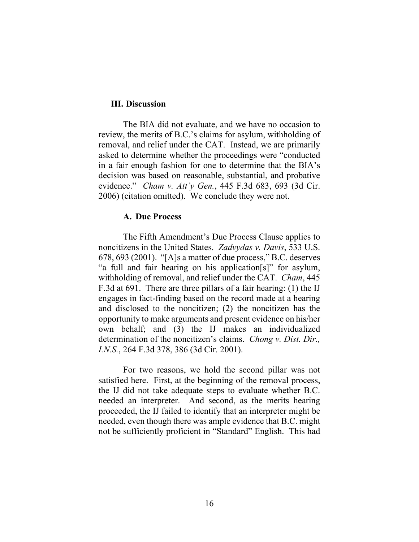### **III. Discussion**

The BIA did not evaluate, and we have no occasion to review, the merits of B.C.'s claims for asylum, withholding of removal, and relief under the CAT. Instead, we are primarily asked to determine whether the proceedings were "conducted in a fair enough fashion for one to determine that the BIA's decision was based on reasonable, substantial, and probative evidence." *Cham v. Att'y Gen.*, 445 F.3d 683, 693 (3d Cir. 2006) (citation omitted). We conclude they were not.

#### **A. Due Process**

The Fifth Amendment's Due Process Clause applies to noncitizens in the United States. *Zadvydas v. Davis*, 533 U.S. 678, 693 (2001). "[A]s a matter of due process," B.C. deserves "a full and fair hearing on his application[s]" for asylum, withholding of removal, and relief under the CAT. *Cham*, 445 F.3d at 691. There are three pillars of a fair hearing: (1) the IJ engages in fact-finding based on the record made at a hearing and disclosed to the noncitizen; (2) the noncitizen has the opportunity to make arguments and present evidence on his/her own behalf; and (3) the IJ makes an individualized determination of the noncitizen's claims. *Chong v. Dist. Dir., I.N.S.*, 264 F.3d 378, 386 (3d Cir. 2001).

For two reasons, we hold the second pillar was not satisfied here. First, at the beginning of the removal process, the IJ did not take adequate steps to evaluate whether B.C. needed an interpreter. And second, as the merits hearing proceeded, the IJ failed to identify that an interpreter might be needed, even though there was ample evidence that B.C. might not be sufficiently proficient in "Standard" English. This had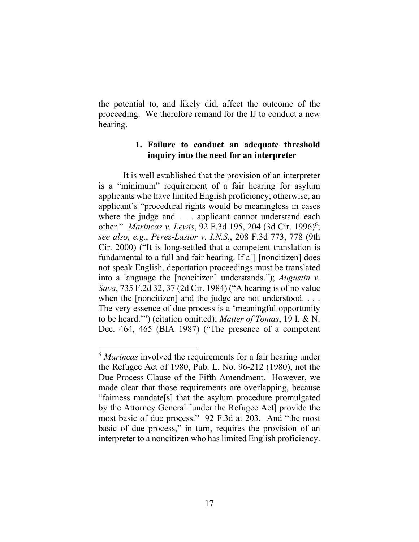the potential to, and likely did, affect the outcome of the proceeding. We therefore remand for the IJ to conduct a new hearing.

## **1. Failure to conduct an adequate threshold inquiry into the need for an interpreter**

It is well established that the provision of an interpreter is a "minimum" requirement of a fair hearing for asylum applicants who have limited English proficiency; otherwise, an applicant's "procedural rights would be meaningless in cases where the judge and . . . applicant cannot understand each other." *Marincas v. Lewis*, 92 F.3d 195, 204 (3d Cir. 1996)<sup>6</sup>; *see also, e.g.*, *Perez-Lastor v. I.N.S.*, 208 F.3d 773, 778 (9th Cir. 2000) ("It is long-settled that a competent translation is fundamental to a full and fair hearing. If a[] [noncitizen] does not speak English, deportation proceedings must be translated into a language the [noncitizen] understands."); *Augustin v. Sava*, 735 F.2d 32, 37 (2d Cir. 1984) ("A hearing is of no value when the [noncitizen] and the judge are not understood. . . . The very essence of due process is a 'meaningful opportunity to be heard.'") (citation omitted); *Matter of Tomas*, 19 I. & N. Dec. 464, 465 (BIA 1987) ("The presence of a competent

<sup>6</sup> *Marincas* involved the requirements for a fair hearing under the Refugee Act of 1980, Pub. L. No. 96-212 (1980), not the Due Process Clause of the Fifth Amendment. However, we made clear that those requirements are overlapping, because "fairness mandate[s] that the asylum procedure promulgated by the Attorney General [under the Refugee Act] provide the most basic of due process." 92 F.3d at 203. And "the most basic of due process," in turn, requires the provision of an interpreter to a noncitizen who has limited English proficiency.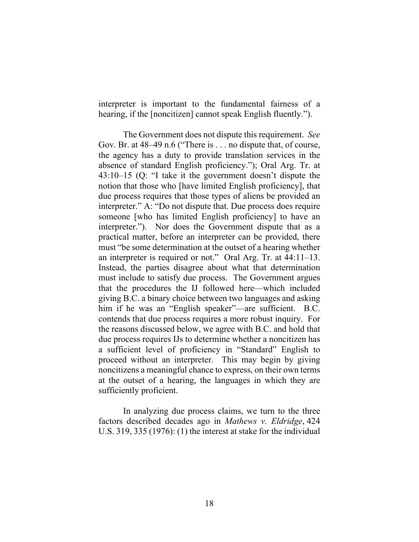interpreter is important to the fundamental fairness of a hearing, if the [noncitizen] cannot speak English fluently.").

The Government does not dispute this requirement. *See* Gov. Br. at 48–49 n.6 ("There is . . . no dispute that, of course, the agency has a duty to provide translation services in the absence of standard English proficiency."); Oral Arg. Tr. at 43:10–15 (Q: "I take it the government doesn't dispute the notion that those who [have limited English proficiency], that due process requires that those types of aliens be provided an interpreter." A: "Do not dispute that. Due process does require someone [who has limited English proficiency] to have an interpreter."). Nor does the Government dispute that as a practical matter, before an interpreter can be provided, there must "be some determination at the outset of a hearing whether an interpreter is required or not." Oral Arg. Tr. at 44:11–13. Instead, the parties disagree about what that determination must include to satisfy due process. The Government argues that the procedures the IJ followed here—which included giving B.C. a binary choice between two languages and asking him if he was an "English speaker"—are sufficient. B.C. contends that due process requires a more robust inquiry. For the reasons discussed below, we agree with B.C. and hold that due process requires IJs to determine whether a noncitizen has a sufficient level of proficiency in "Standard" English to proceed without an interpreter. This may begin by giving noncitizens a meaningful chance to express, on their own terms at the outset of a hearing, the languages in which they are sufficiently proficient.

In analyzing due process claims, we turn to the three factors described decades ago in *Mathews v. Eldridge*, 424 U.S. 319, 335 (1976): (1) the interest at stake for the individual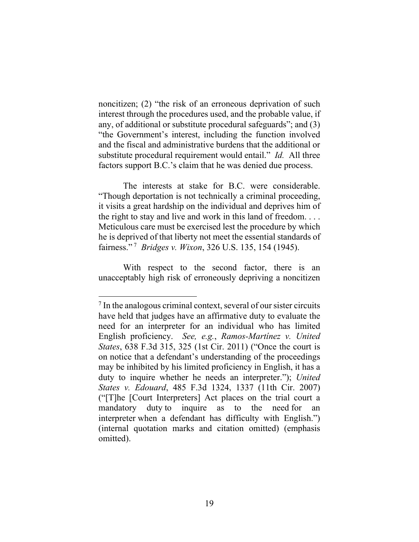noncitizen; (2) "the risk of an erroneous deprivation of such interest through the procedures used, and the probable value, if any, of additional or substitute procedural safeguards"; and (3) "the Government's interest, including the function involved and the fiscal and administrative burdens that the additional or substitute procedural requirement would entail." *Id.* All three factors support B.C.'s claim that he was denied due process.

The interests at stake for B.C. were considerable. "Though deportation is not technically a criminal proceeding, it visits a great hardship on the individual and deprives him of the right to stay and live and work in this land of freedom. . . . Meticulous care must be exercised lest the procedure by which he is deprived of that liberty not meet the essential standards of fairness." 7 *Bridges v. Wixon*, 326 U.S. 135, 154 (1945).

With respect to the second factor, there is an unacceptably high risk of erroneously depriving a noncitizen

<sup>&</sup>lt;sup>7</sup> In the analogous criminal context, several of our sister circuits have held that judges have an affirmative duty to evaluate the need for an interpreter for an individual who has limited English proficiency. *See, e.g.*, *Ramos-Martínez v. United States*, 638 F.3d 315, 325 (1st Cir. 2011) ("Once the court is on notice that a defendant's understanding of the proceedings may be inhibited by his limited proficiency in English, it has a duty to inquire whether he needs an interpreter."); *United States v. Edouard*, 485 F.3d 1324, 1337 (11th Cir. 2007) ("[T]he [Court Interpreters] Act places on the trial court a mandatory duty to inquire as to the need for an interpreter when a defendant has difficulty with English.") (internal quotation marks and citation omitted) (emphasis omitted).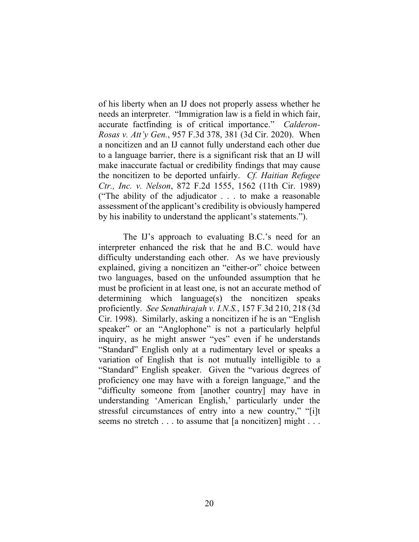of his liberty when an IJ does not properly assess whether he needs an interpreter. "Immigration law is a field in which fair, accurate factfinding is of critical importance." *Calderon-Rosas v. Att'y Gen.*, 957 F.3d 378, 381 (3d Cir. 2020). When a noncitizen and an IJ cannot fully understand each other due to a language barrier, there is a significant risk that an IJ will make inaccurate factual or credibility findings that may cause the noncitizen to be deported unfairly. *Cf. Haitian Refugee Ctr., Inc. v. Nelson*, 872 F.2d 1555, 1562 (11th Cir. 1989) ("The ability of the adjudicator . . . to make a reasonable assessment of the applicant's credibility is obviously hampered by his inability to understand the applicant's statements.").

The IJ's approach to evaluating B.C.'s need for an interpreter enhanced the risk that he and B.C. would have difficulty understanding each other. As we have previously explained, giving a noncitizen an "either-or" choice between two languages, based on the unfounded assumption that he must be proficient in at least one, is not an accurate method of determining which language(s) the noncitizen speaks proficiently. *See Senathirajah v. I.N.S.*, 157 F.3d 210, 218 (3d Cir. 1998). Similarly, asking a noncitizen if he is an "English speaker" or an "Anglophone" is not a particularly helpful inquiry, as he might answer "yes" even if he understands "Standard" English only at a rudimentary level or speaks a variation of English that is not mutually intelligible to a "Standard" English speaker. Given the "various degrees of proficiency one may have with a foreign language," and the "difficulty someone from [another country] may have in understanding 'American English,' particularly under the stressful circumstances of entry into a new country," "[i]t seems no stretch . . . to assume that [a noncitizen] might . . .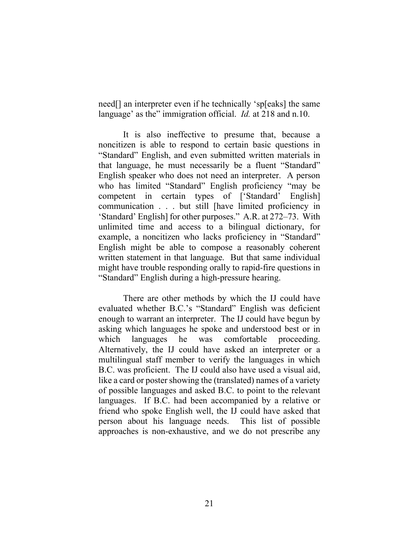need[] an interpreter even if he technically 'sp[eaks] the same language' as the" immigration official. *Id.* at 218 and n.10.

It is also ineffective to presume that, because a noncitizen is able to respond to certain basic questions in "Standard" English, and even submitted written materials in that language, he must necessarily be a fluent "Standard" English speaker who does not need an interpreter. A person who has limited "Standard" English proficiency "may be competent in certain types of ['Standard' English] communication . . . but still [have limited proficiency in 'Standard' English] for other purposes." A.R. at 272–73. With unlimited time and access to a bilingual dictionary, for example, a noncitizen who lacks proficiency in "Standard" English might be able to compose a reasonably coherent written statement in that language. But that same individual might have trouble responding orally to rapid-fire questions in "Standard" English during a high-pressure hearing.

There are other methods by which the IJ could have evaluated whether B.C.'s "Standard" English was deficient enough to warrant an interpreter. The IJ could have begun by asking which languages he spoke and understood best or in which languages he was comfortable proceeding. Alternatively, the IJ could have asked an interpreter or a multilingual staff member to verify the languages in which B.C. was proficient. The IJ could also have used a visual aid, like a card or poster showing the (translated) names of a variety of possible languages and asked B.C. to point to the relevant languages. If B.C. had been accompanied by a relative or friend who spoke English well, the IJ could have asked that person about his language needs. This list of possible approaches is non-exhaustive, and we do not prescribe any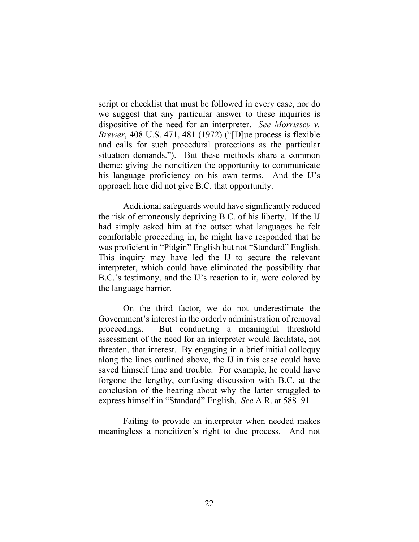script or checklist that must be followed in every case, nor do we suggest that any particular answer to these inquiries is dispositive of the need for an interpreter. *See Morrissey v. Brewer*, 408 U.S. 471, 481 (1972) ("[D]ue process is flexible and calls for such procedural protections as the particular situation demands.").But these methods share a common theme: giving the noncitizen the opportunity to communicate his language proficiency on his own terms. And the IJ's approach here did not give B.C. that opportunity.

Additional safeguards would have significantly reduced the risk of erroneously depriving B.C. of his liberty. If the IJ had simply asked him at the outset what languages he felt comfortable proceeding in, he might have responded that he was proficient in "Pidgin" English but not "Standard" English. This inquiry may have led the IJ to secure the relevant interpreter, which could have eliminated the possibility that B.C.'s testimony, and the IJ's reaction to it, were colored by the language barrier.

On the third factor, we do not underestimate the Government's interest in the orderly administration of removal proceedings. But conducting a meaningful threshold assessment of the need for an interpreter would facilitate, not threaten, that interest. By engaging in a brief initial colloquy along the lines outlined above, the IJ in this case could have saved himself time and trouble. For example, he could have forgone the lengthy, confusing discussion with B.C. at the conclusion of the hearing about why the latter struggled to express himself in "Standard" English. *See* A.R. at 588–91.

Failing to provide an interpreter when needed makes meaningless a noncitizen's right to due process. And not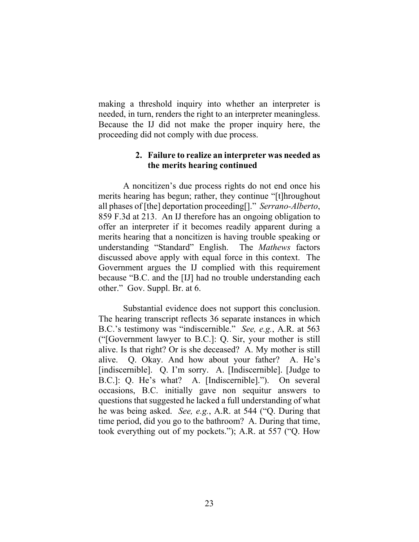making a threshold inquiry into whether an interpreter is needed, in turn, renders the right to an interpreter meaningless. Because the IJ did not make the proper inquiry here, the proceeding did not comply with due process.

## **2. Failure to realize an interpreter was needed as the merits hearing continued**

A noncitizen's due process rights do not end once his merits hearing has begun; rather, they continue "[t]hroughout all phases of [the] deportation proceeding[]." *Serrano-Alberto*, 859 F.3d at 213. An IJ therefore has an ongoing obligation to offer an interpreter if it becomes readily apparent during a merits hearing that a noncitizen is having trouble speaking or understanding "Standard" English. The *Mathews* factors discussed above apply with equal force in this context. The Government argues the IJ complied with this requirement because "B.C. and the [IJ] had no trouble understanding each other." Gov. Suppl. Br. at 6.

Substantial evidence does not support this conclusion. The hearing transcript reflects 36 separate instances in which B.C.'s testimony was "indiscernible." *See, e.g.*, A.R. at 563 ("[Government lawyer to B.C.]: Q. Sir, your mother is still alive. Is that right? Or is she deceased? A. My mother is still alive. Q. Okay. And how about your father? A. He's [indiscernible]. Q. I'm sorry. A. [Indiscernible]. [Judge to B.C.]: Q. He's what? A. [Indiscernible]."). On several occasions, B.C. initially gave non sequitur answers to questions that suggested he lacked a full understanding of what he was being asked. *See, e.g.*, A.R. at 544 ("Q. During that time period, did you go to the bathroom? A. During that time, took everything out of my pockets."); A.R. at 557 ("Q. How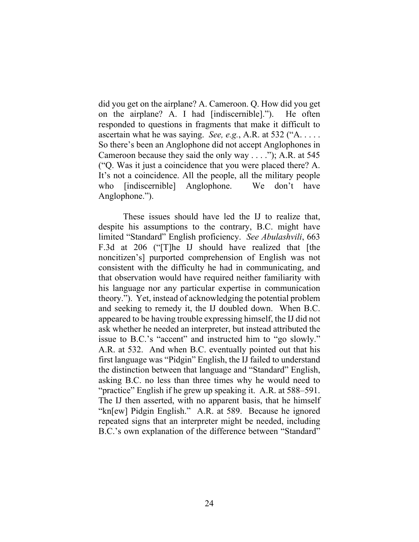did you get on the airplane? A. Cameroon. Q. How did you get on the airplane? A. I had [indiscernible]."). He often responded to questions in fragments that make it difficult to ascertain what he was saying. *See, e.g.*, A.R. at 532 ("A. . . . . So there's been an Anglophone did not accept Anglophones in Cameroon because they said the only way . . . ."); A.R. at 545 ("Q. Was it just a coincidence that you were placed there? A. It's not a coincidence. All the people, all the military people who [indiscernible] Anglophone. We don't have Anglophone.").

These issues should have led the IJ to realize that, despite his assumptions to the contrary, B.C. might have limited "Standard" English proficiency. *See Abulashvili*, 663 F.3d at 206 ("[T]he IJ should have realized that [the noncitizen's] purported comprehension of English was not consistent with the difficulty he had in communicating, and that observation would have required neither familiarity with his language nor any particular expertise in communication theory."). Yet, instead of acknowledging the potential problem and seeking to remedy it, the IJ doubled down. When B.C. appeared to be having trouble expressing himself, the IJ did not ask whether he needed an interpreter, but instead attributed the issue to B.C.'s "accent" and instructed him to "go slowly." A.R. at 532. And when B.C. eventually pointed out that his first language was "Pidgin" English, the IJ failed to understand the distinction between that language and "Standard" English, asking B.C. no less than three times why he would need to "practice" English if he grew up speaking it. A.R. at 588–591. The IJ then asserted, with no apparent basis, that he himself "kn[ew] Pidgin English." A.R. at 589. Because he ignored repeated signs that an interpreter might be needed, including B.C.'s own explanation of the difference between "Standard"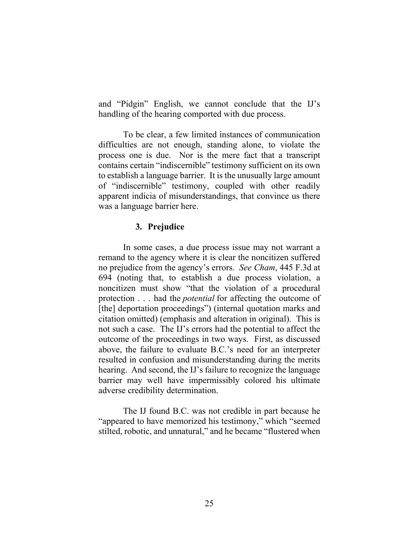and "Pidgin" English, we cannot conclude that the IJ's handling of the hearing comported with due process.

To be clear, a few limited instances of communication difficulties are not enough, standing alone, to violate the process one is due. Nor is the mere fact that a transcript contains certain "indiscernible" testimony sufficient on its own to establish a language barrier. It is the unusually large amount of "indiscernible" testimony, coupled with other readily apparent indicia of misunderstandings, that convince us there was a language barrier here.

## **3. Prejudice**

In some cases, a due process issue may not warrant a remand to the agency where it is clear the noncitizen suffered no prejudice from the agency's errors. *See Cham*, 445 F.3d at 694 (noting that, to establish a due process violation, a noncitizen must show "that the violation of a procedural protection . . . had the *potential* for affecting the outcome of [the] deportation proceedings") (internal quotation marks and citation omitted) (emphasis and alteration in original). This is not such a case. The IJ's errors had the potential to affect the outcome of the proceedings in two ways. First, as discussed above, the failure to evaluate B.C.'s need for an interpreter resulted in confusion and misunderstanding during the merits hearing. And second, the IJ's failure to recognize the language barrier may well have impermissibly colored his ultimate adverse credibility determination.

The IJ found B.C. was not credible in part because he "appeared to have memorized his testimony," which "seemed stilted, robotic, and unnatural," and he became "flustered when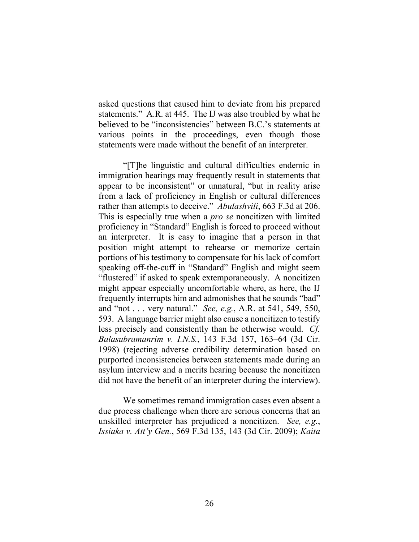asked questions that caused him to deviate from his prepared statements." A.R. at 445. The IJ was also troubled by what he believed to be "inconsistencies" between B.C.'s statements at various points in the proceedings, even though those statements were made without the benefit of an interpreter.

"[T]he linguistic and cultural difficulties endemic in immigration hearings may frequently result in statements that appear to be inconsistent" or unnatural, "but in reality arise from a lack of proficiency in English or cultural differences rather than attempts to deceive." *Abulashvili*, 663 F.3d at 206. This is especially true when a *pro se* noncitizen with limited proficiency in "Standard" English is forced to proceed without an interpreter. It is easy to imagine that a person in that position might attempt to rehearse or memorize certain portions of his testimony to compensate for his lack of comfort speaking off-the-cuff in "Standard" English and might seem "flustered" if asked to speak extemporaneously. A noncitizen might appear especially uncomfortable where, as here, the IJ frequently interrupts him and admonishes that he sounds "bad" and "not . . . very natural." *See, e.g.*, A.R. at 541, 549, 550, 593. A language barrier might also cause a noncitizen to testify less precisely and consistently than he otherwise would. *Cf. Balasubramanrim v. I.N.S.*, 143 F.3d 157, 163–64 (3d Cir. 1998) (rejecting adverse credibility determination based on purported inconsistencies between statements made during an asylum interview and a merits hearing because the noncitizen did not have the benefit of an interpreter during the interview).

We sometimes remand immigration cases even absent a due process challenge when there are serious concerns that an unskilled interpreter has prejudiced a noncitizen. *See, e.g.*, *Issiaka v. Att'y Gen.*, 569 F.3d 135, 143 (3d Cir. 2009); *Kaita*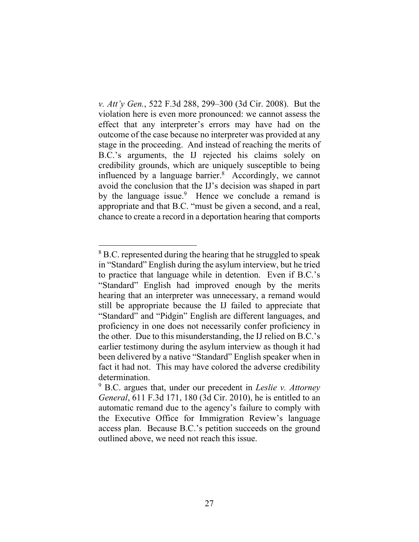*v. Att'y Gen.*, 522 F.3d 288, 299–300 (3d Cir. 2008). But the violation here is even more pronounced: we cannot assess the effect that any interpreter's errors may have had on the outcome of the case because no interpreter was provided at any stage in the proceeding. And instead of reaching the merits of B.C.'s arguments, the IJ rejected his claims solely on credibility grounds, which are uniquely susceptible to being influenced by a language barrier.<sup>8</sup> Accordingly, we cannot avoid the conclusion that the IJ's decision was shaped in part by the language issue.<sup>9</sup> Hence we conclude a remand is appropriate and that B.C. "must be given a second, and a real, chance to create a record in a deportation hearing that comports

<sup>&</sup>lt;sup>8</sup> B.C. represented during the hearing that he struggled to speak in "Standard" English during the asylum interview, but he tried to practice that language while in detention. Even if B.C.'s "Standard" English had improved enough by the merits hearing that an interpreter was unnecessary, a remand would still be appropriate because the IJ failed to appreciate that "Standard" and "Pidgin" English are different languages, and proficiency in one does not necessarily confer proficiency in the other. Due to this misunderstanding, the IJ relied on B.C.'s earlier testimony during the asylum interview as though it had been delivered by a native "Standard" English speaker when in fact it had not. This may have colored the adverse credibility determination.

<sup>9</sup> B.C. argues that, under our precedent in *Leslie v. Attorney General*, 611 F.3d 171, 180 (3d Cir. 2010), he is entitled to an automatic remand due to the agency's failure to comply with the Executive Office for Immigration Review's language access plan. Because B.C.'s petition succeeds on the ground outlined above, we need not reach this issue.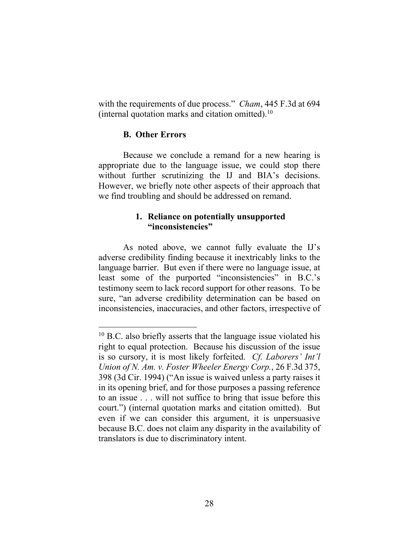with the requirements of due process." *Cham*, 445 F.3d at 694 (internal quotation marks and citation omitted).<sup>10</sup>

### **B. Other Errors**

Because we conclude a remand for a new hearing is appropriate due to the language issue, we could stop there without further scrutinizing the IJ and BIA's decisions. However, we briefly note other aspects of their approach that we find troubling and should be addressed on remand.

## **1. Reliance on potentially unsupported "inconsistencies"**

As noted above, we cannot fully evaluate the IJ's adverse credibility finding because it inextricably links to the language barrier. But even if there were no language issue, at least some of the purported "inconsistencies" in B.C.'s testimony seem to lack record support for other reasons. To be sure, "an adverse credibility determination can be based on inconsistencies, inaccuracies, and other factors, irrespective of

 $10$  B.C. also briefly asserts that the language issue violated his right to equal protection. Because his discussion of the issue is so cursory, it is most likely forfeited. *Cf. Laborers' Int'l Union of N. Am. v. Foster Wheeler Energy Corp.*, 26 F.3d 375, 398 (3d Cir. 1994) ("An issue is waived unless a party raises it in its opening brief, and for those purposes a passing reference to an issue . . . will not suffice to bring that issue before this court.") (internal quotation marks and citation omitted). But even if we can consider this argument, it is unpersuasive because B.C. does not claim any disparity in the availability of translators is due to discriminatory intent.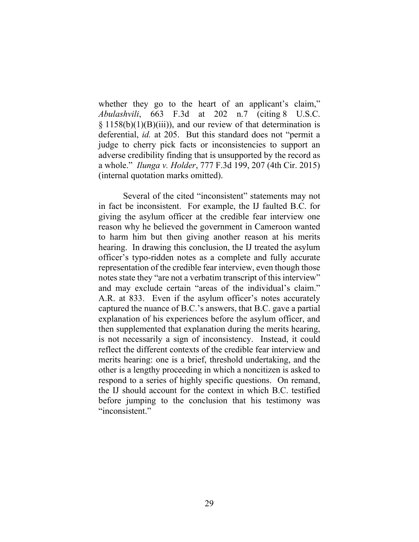whether they go to the heart of an applicant's claim," *Abulashvili*, 663 F.3d at 202 n.7 (citing 8 U.S.C.  $\S 1158(b)(1)(B)(iii)$ , and our review of that determination is deferential, *id.* at 205. But this standard does not "permit a judge to cherry pick facts or inconsistencies to support an adverse credibility finding that is unsupported by the record as a whole." *Ilunga v. Holder*, 777 F.3d 199, 207 (4th Cir. 2015) (internal quotation marks omitted).

Several of the cited "inconsistent" statements may not in fact be inconsistent. For example, the IJ faulted B.C. for giving the asylum officer at the credible fear interview one reason why he believed the government in Cameroon wanted to harm him but then giving another reason at his merits hearing. In drawing this conclusion, the IJ treated the asylum officer's typo-ridden notes as a complete and fully accurate representation of the credible fear interview, even though those notes state they "are not a verbatim transcript of this interview" and may exclude certain "areas of the individual's claim." A.R. at 833. Even if the asylum officer's notes accurately captured the nuance of B.C.'s answers, that B.C. gave a partial explanation of his experiences before the asylum officer, and then supplemented that explanation during the merits hearing, is not necessarily a sign of inconsistency. Instead, it could reflect the different contexts of the credible fear interview and merits hearing: one is a brief, threshold undertaking, and the other is a lengthy proceeding in which a noncitizen is asked to respond to a series of highly specific questions. On remand, the IJ should account for the context in which B.C. testified before jumping to the conclusion that his testimony was "inconsistent."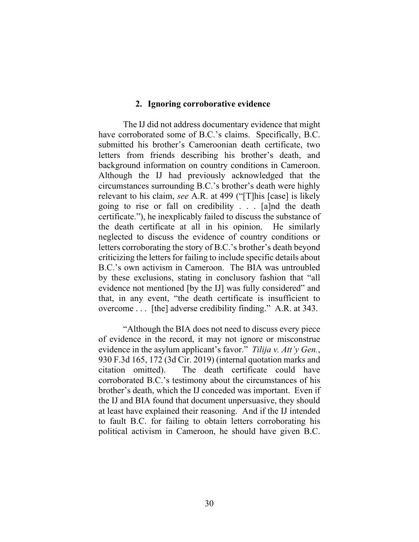#### **2. Ignoring corroborative evidence**

The IJ did not address documentary evidence that might have corroborated some of B.C.'s claims. Specifically, B.C. submitted his brother's Cameroonian death certificate, two letters from friends describing his brother's death, and background information on country conditions in Cameroon. Although the IJ had previously acknowledged that the circumstances surrounding B.C.'s brother's death were highly relevant to his claim, *see* A.R. at 499 ("[T]his [case] is likely going to rise or fall on credibility . . . [a]nd the death certificate."), he inexplicably failed to discuss the substance of the death certificate at all in his opinion. He similarly neglected to discuss the evidence of country conditions or letters corroborating the story of B.C.'s brother's death beyond criticizing the letters for failing to include specific details about B.C.'s own activism in Cameroon. The BIA was untroubled by these exclusions, stating in conclusory fashion that "all evidence not mentioned [by the IJ] was fully considered" and that, in any event, "the death certificate is insufficient to overcome . . . [the] adverse credibility finding." A.R. at 343.

"Although the BIA does not need to discuss every piece of evidence in the record, it may not ignore or misconstrue evidence in the asylum applicant's favor." *Tilija v. Att'y Gen.*, 930 F.3d 165, 172 (3d Cir. 2019) (internal quotation marks and citation omitted). The death certificate could have corroborated B.C.'s testimony about the circumstances of his brother's death, which the IJ conceded was important. Even if the IJ and BIA found that document unpersuasive, they should at least have explained their reasoning. And if the IJ intended to fault B.C. for failing to obtain letters corroborating his political activism in Cameroon, he should have given B.C.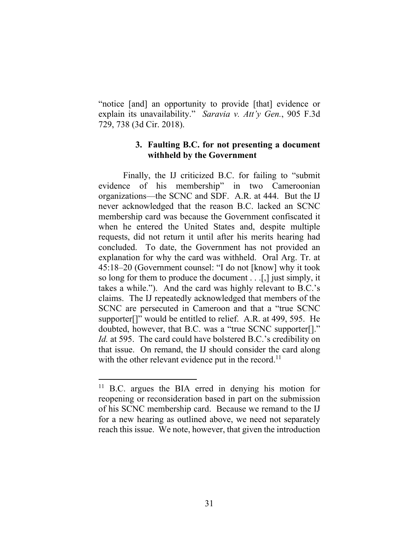"notice [and] an opportunity to provide [that] evidence or explain its unavailability." *Saravia v. Att'y Gen.*, 905 F.3d 729, 738 (3d Cir. 2018).

## **3. Faulting B.C. for not presenting a document withheld by the Government**

Finally, the IJ criticized B.C. for failing to "submit evidence of his membership" in two Cameroonian organizations—the SCNC and SDF. A.R. at 444. But the IJ never acknowledged that the reason B.C. lacked an SCNC membership card was because the Government confiscated it when he entered the United States and, despite multiple requests, did not return it until after his merits hearing had concluded. To date, the Government has not provided an explanation for why the card was withheld. Oral Arg. Tr. at 45:18–20 (Government counsel: "I do not [know] why it took so long for them to produce the document . . .[,] just simply, it takes a while."). And the card was highly relevant to B.C.'s claims. The IJ repeatedly acknowledged that members of the SCNC are persecuted in Cameroon and that a "true SCNC supporter[]" would be entitled to relief. A.R. at 499, 595. He doubted, however, that B.C. was a "true SCNC supporter[]." *Id.* at 595.The card could have bolstered B.C.'s credibility on that issue. On remand, the IJ should consider the card along with the other relevant evidence put in the record.<sup>11</sup>

<sup>&</sup>lt;sup>11</sup> B.C. argues the BIA erred in denying his motion for reopening or reconsideration based in part on the submission of his SCNC membership card. Because we remand to the IJ for a new hearing as outlined above, we need not separately reach this issue. We note, however, that given the introduction